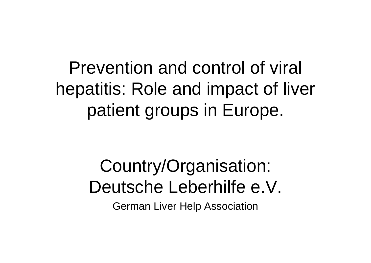# Prevention and control of viral hepatitis: Role and impact of liver patient groups in Europe.

# Country/Organisation: Deutsche Leberhilfe e.V. German Liver Help Association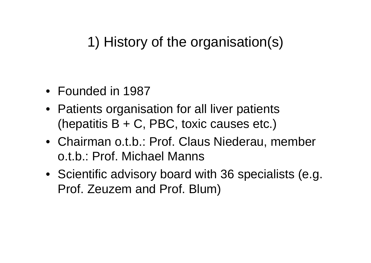# 1) History of the organisation(s)

- Founded in 1987
- Patients organisation for all liver patients (hepatitis  $B + C$ , PBC, toxic causes etc.)
- Chairman o.t.b.: Prof. Claus Niederau, member o.t.b.: Prof. Michael Manns
- Scientific advisory board with 36 specialists (e.g. Prof. Zeuzem and Prof. Blum)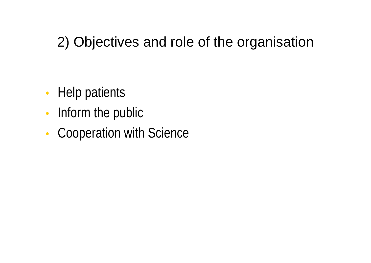# 2) Objectives and role of the organisation

- Help patients
- Inform the public
- Cooperation with Science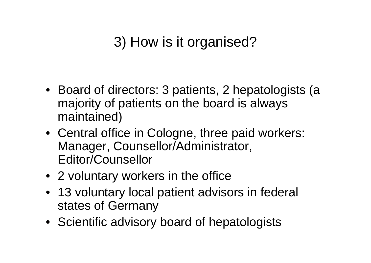# 3) How is it organised?

- Board of directors: 3 patients, 2 hepatologists (a majority of patients on the board is always maintained)
- Central office in Cologne, three paid workers: Manager, Counsellor/Administrator, Editor/Counsellor
- 2 voluntary workers in the office
- 13 voluntary local patient advisors in federal states of Germany
- Scientific advisory board of hepatologists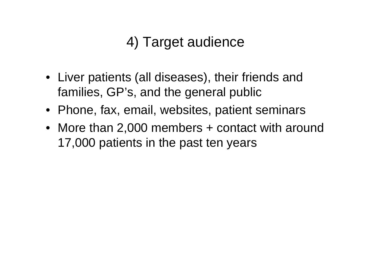# 4) Target audience

- Liver patients (all diseases), their friends and families, GP's, and the general public
- Phone, fax, email, websites, patient seminars
- More than 2,000 members + contact with around 17,000 patients in the past ten years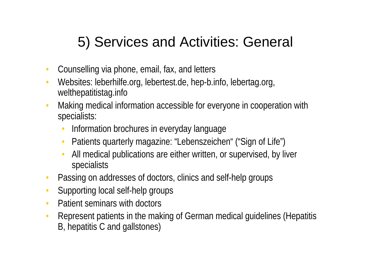# 5) Services and Activities: General

- Counselling via phone, email, fax, and letters
- Websites: leberhilfe.org, lebertest.de, hep-b.info, lebertag.org, welthepatitistag.info
- Making medical information accessible for everyone in cooperation with specialists:
	- Information brochures in everyday language
	- Patients quarterly magazine: "Lebenszeichen" ("Sign of Life")
	- All medical publications are either written, or supervised, by liver specialists
- Passing on addresses of doctors, clinics and self-help groups
- Supporting local self-help groups
- Patient seminars with doctors
- Represent patients in the making of German medical guidelines (Hepatitis B, hepatitis C and gallstones)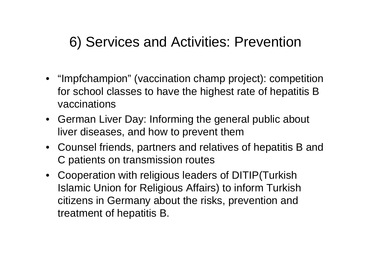#### 6) Services and Activities: Prevention

- "Impfchampion" (vaccination champ project): competition for school classes to have the highest rate of hepatitis B vaccinations
- German Liver Day: Informing the general public about liver diseases, and how to prevent them
- Counsel friends, partners and relatives of hepatitis B and C patients on transmission routes
- Cooperation with religious leaders of DITIP(Turkish Islamic Union for Religious Affairs) to inform Turkish citizens in Germany about the risks, prevention and treatment of hepatitis B.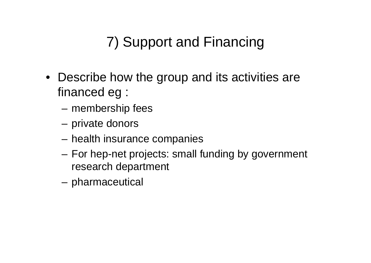# 7) Support and Financing

- Describe how the group and its activities are financed eg :
	- membership fees
	- private donors
	- health insurance companies
	- For hep-net projects: small funding by government research department
	- pharmaceutical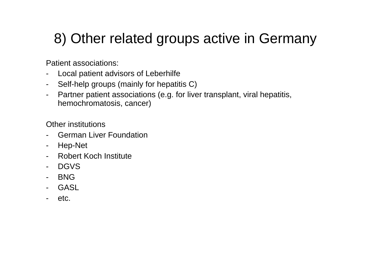# 8) Other related groups active in Germany

Patient associations:

- Local patient advisors of Leberhilfe
- Self-help groups (mainly for hepatitis C)
- Partner patient associations (e.g. for liver transplant, viral hepatitis, hemochromatosis, cancer)

Other institutions

- German Liver Foundation
- Hep-Net
- Robert Koch Institute
- DGVS
- BNG
- **GASL**
- etc.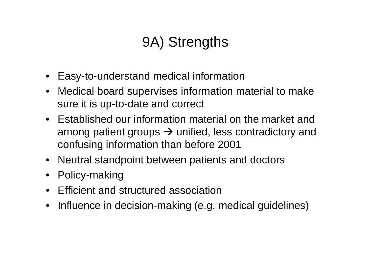# 9A) Strengths

- Easy-to-understand medical information
- Medical board supervises information material to make sure it is up-to-date and correct
- Established our information material on the market and among patient groups  $\rightarrow$  unified, less contradictory and confusing information than before 2001
- Neutral standpoint between patients and doctors
- Policy-making
- Efficient and structured association
- Influence in decision-making (e.g. medical guidelines)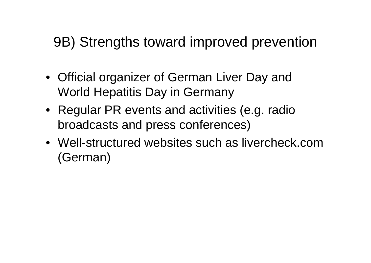#### 9B) Strengths toward improved prevention

- Official organizer of German Liver Day and World Hepatitis Day in Germany
- Regular PR events and activities (e.g. radio broadcasts and press conferences)
- Well-structured websites such as livercheck.com (German)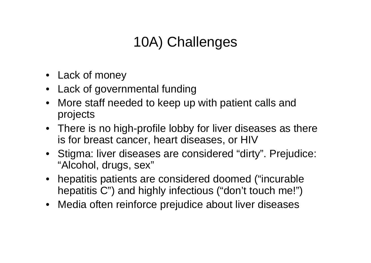# 10A) Challenges

- Lack of money
- Lack of governmental funding
- More staff needed to keep up with patient calls and projects
- There is no high-profile lobby for liver diseases as there is for breast cancer, heart diseases, or HIV
- Stigma: liver diseases are considered "dirty". Prejudice: "Alcohol, drugs, sex"
- hepatitis patients are considered doomed ("incurable" hepatitis C") and highly infectious ("don't touch me!")
- Media often reinforce prejudice about liver diseases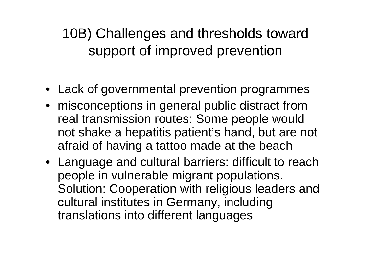10B) Challenges and thresholds toward support of improved prevention

- Lack of governmental prevention programmes
- misconceptions in general public distract from real transmission routes: Some people would not shake a hepatitis patient's hand, but are not afraid of having a tattoo made at the beach
- Language and cultural barriers: difficult to reach people in vulnerable migrant populations. Solution: Cooperation with religious leaders and cultural institutes in Germany, including translations into different languages